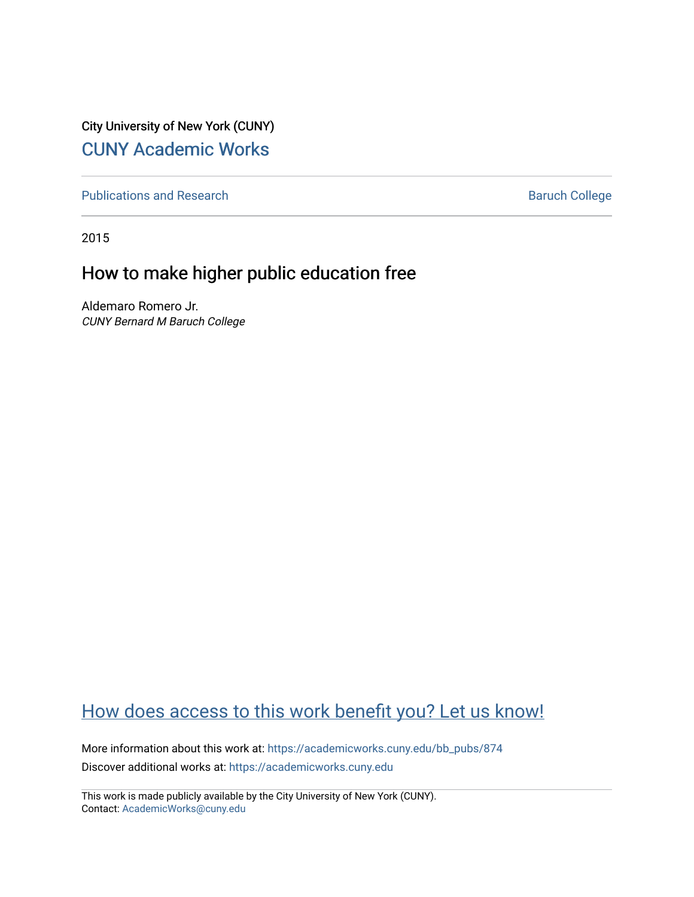City University of New York (CUNY) [CUNY Academic Works](https://academicworks.cuny.edu/) 

[Publications and Research](https://academicworks.cuny.edu/bb_pubs) **Baruch College** Baruch College

2015

## How to make higher public education free

Aldemaro Romero Jr. CUNY Bernard M Baruch College

## [How does access to this work benefit you? Let us know!](http://ols.cuny.edu/academicworks/?ref=https://academicworks.cuny.edu/bb_pubs/874)

More information about this work at: [https://academicworks.cuny.edu/bb\\_pubs/874](https://academicworks.cuny.edu/bb_pubs/874)  Discover additional works at: [https://academicworks.cuny.edu](https://academicworks.cuny.edu/?)

This work is made publicly available by the City University of New York (CUNY). Contact: [AcademicWorks@cuny.edu](mailto:AcademicWorks@cuny.edu)